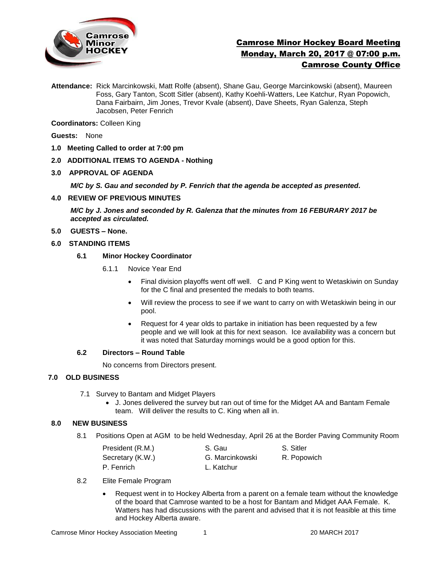

# Camrose Minor Hockey Board Meeting Monday, March 20, 2017 @ 07:00 p.m. Camrose County Office

**Attendance:** Rick Marcinkowski, Matt Rolfe (absent), Shane Gau, George Marcinkowski (absent), Maureen Foss, Gary Tanton, Scott Sitler (absent), Kathy Koehli-Watters, Lee Katchur, Ryan Popowich, Dana Fairbairn, Jim Jones, Trevor Kvale (absent), Dave Sheets, Ryan Galenza, Steph Jacobsen, Peter Fenrich

**Coordinators:** Colleen King

**Guests:** None

- **1.0 Meeting Called to order at 7:00 pm**
- **2.0 ADDITIONAL ITEMS TO AGENDA - Nothing**
- **3.0 APPROVAL OF AGENDA**

*M/C by S. Gau and seconded by P. Fenrich that the agenda be accepted as presented.* 

**4.0 REVIEW OF PREVIOUS MINUTES**

*M/C by J. Jones and seconded by R. Galenza that the minutes from 16 FEBURARY 2017 be accepted as circulated.*

**5.0 GUESTS – None.** 

### **6.0 STANDING ITEMS**

# **6.1 Minor Hockey Coordinator**

- 6.1.1 Novice Year End
	- Final division playoffs went off well. C and P King went to Wetaskiwin on Sunday for the C final and presented the medals to both teams.
	- Will review the process to see if we want to carry on with Wetaskiwin being in our pool.
	- Request for 4 year olds to partake in initiation has been requested by a few people and we will look at this for next season. Ice availability was a concern but it was noted that Saturday mornings would be a good option for this.

# **6.2 Directors – Round Table**

No concerns from Directors present.

### **7.0 OLD BUSINESS**

- 7.1 Survey to Bantam and Midget Players
	- J. Jones delivered the survey but ran out of time for the Midget AA and Bantam Female team. Will deliver the results to C. King when all in.

### **8.0 NEW BUSINESS**

8.1 Positions Open at AGM to be held Wednesday, April 26 at the Border Paving Community Room

| President (R.M.) | S. Gau          | S. Sitler   |
|------------------|-----------------|-------------|
| Secretary (K.W.) | G. Marcinkowski | R. Popowich |
| P. Fenrich       | L. Katchur      |             |

- 8.2 Elite Female Program
	- Request went in to Hockey Alberta from a parent on a female team without the knowledge of the board that Camrose wanted to be a host for Bantam and Midget AAA Female. K. Watters has had discussions with the parent and advised that it is not feasible at this time and Hockey Alberta aware.